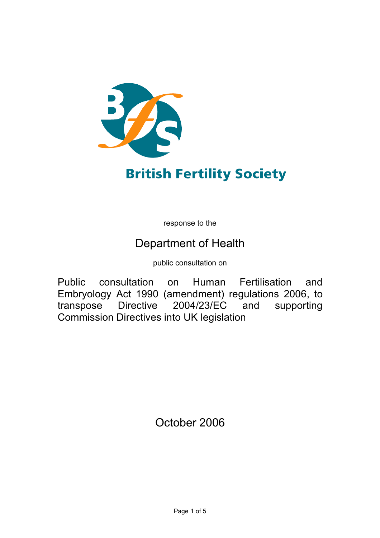

# **British Fertility Society**

response to the

# Department of Health

public consultation on

Public consultation on Human Fertilisation and Embryology Act 1990 (amendment) regulations 2006, to transpose Directive 2004/23/EC and supporting Commission Directives into UK legislation

October 2006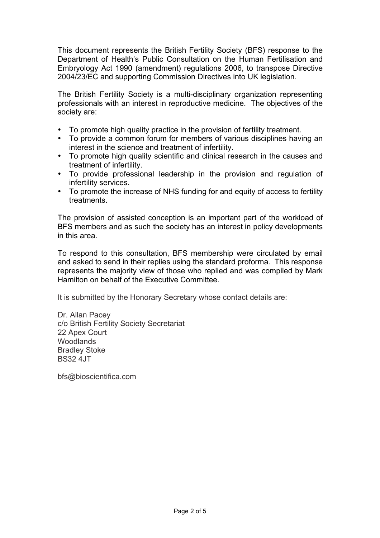This document represents the British Fertility Society (BFS) response to the Department of Health's Public Consultation on the Human Fertilisation and Embryology Act 1990 (amendment) regulations 2006, to transpose Directive 2004/23/EC and supporting Commission Directives into UK legislation.

The British Fertility Society is a multi-disciplinary organization representing professionals with an interest in reproductive medicine. The objectives of the society are:

- To promote high quality practice in the provision of fertility treatment.
- To provide a common forum for members of various disciplines having an interest in the science and treatment of infertility.
- To promote high quality scientific and clinical research in the causes and treatment of infertility.
- To provide professional leadership in the provision and regulation of infertility services.
- To promote the increase of NHS funding for and equity of access to fertility treatments.

The provision of assisted conception is an important part of the workload of BFS members and as such the society has an interest in policy developments in this area.

To respond to this consultation, BFS membership were circulated by email and asked to send in their replies using the standard proforma. This response represents the majority view of those who replied and was compiled by Mark Hamilton on behalf of the Executive Committee.

It is submitted by the Honorary Secretary whose contact details are:

Dr. Allan Pacey c/o British Fertility Society Secretariat 22 Apex Court **Woodlands** Bradley Stoke BS32 4JT

bfs@bioscientifica.com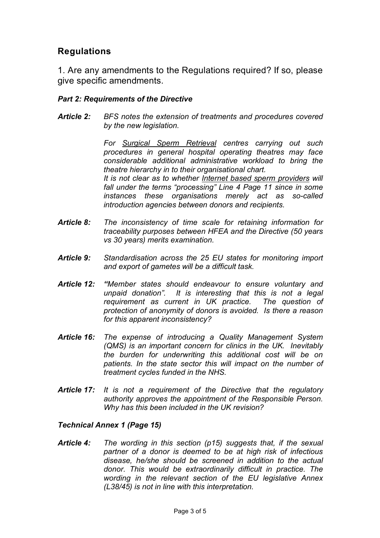# **Regulations**

1. Are any amendments to the Regulations required? If so, please give specific amendments.

#### *Part 2: Requirements of the Directive*

*Article 2: BFS notes the extension of treatments and procedures covered by the new legislation.*

> *For Surgical Sperm Retrieval centres carrying out such procedures in general hospital operating theatres may face considerable additional administrative workload to bring the theatre hierarchy in to their organisational chart. It is not clear as to whether Internet based sperm providers will fall under the terms "processing" Line 4 Page 11 since in some instances these organisations merely act as so-called introduction agencies between donors and recipients.*

- *Article 8: The inconsistency of time scale for retaining information for traceability purposes between HFEA and the Directive (50 years vs 30 years) merits examination.*
- *Article 9: Standardisation across the 25 EU states for monitoring import and export of gametes will be a difficult task.*
- *Article 12: "Member states should endeavour to ensure voluntary and unpaid donation". It is interesting that this is not a legal requirement as current in UK practice. The question of protection of anonymity of donors is avoided. Is there a reason for this apparent inconsistency?*
- *Article 16: The expense of introducing a Quality Management System (QMS) is an important concern for clinics in the UK. Inevitably the burden for underwriting this additional cost will be on patients. In the state sector this will impact on the number of treatment cycles funded in the NHS.*
- *Article 17: It is not a requirement of the Directive that the regulatory authority approves the appointment of the Responsible Person. Why has this been included in the UK revision?*

#### *Technical Annex 1 (Page 15)*

*Article 4: The wording in this section (p15) suggests that, if the sexual partner of a donor is deemed to be at high risk of infectious disease, he/she should be screened in addition to the actual donor. This would be extraordinarily difficult in practice. The wording in the relevant section of the EU legislative Annex (L38/45) is not in line with this interpretation.*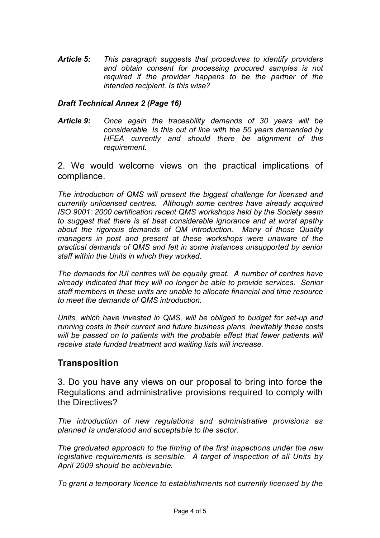*Article 5: This paragraph suggests that procedures to identify providers and obtain consent for processing procured samples is not required if the provider happens to be the partner of the intended recipient. Is this wise?*

#### *Draft Technical Annex 2 (Page 16)*

*Article 9: Once again the traceability demands of 30 years will be considerable. Is this out of line with the 50 years demanded by HFEA currently and should there be alignment of this requirement.*

2. We would welcome views on the practical implications of compliance.

*The introduction of QMS will present the biggest challenge for licensed and currently unlicensed centres. Although some centres have already acquired ISO 9001: 2000 certification recent QMS workshops held by the Society seem to suggest that there is at best considerable ignorance and at worst apathy about the rigorous demands of QM introduction. Many of those Quality managers in post and present at these workshops were unaware of the practical demands of QMS and felt in some instances unsupported by senior staff within the Units in which they worked.*

*The demands for IUI centres will be equally great. A number of centres have already indicated that they will no longer be able to provide services. Senior staff members in these units are unable to allocate financial and time resource to meet the demands of QMS introduction.*

*Units, which have invested in QMS, will be obliged to budget for set-up and running costs in their current and future business plans. Inevitably these costs will be passed on to patients with the probable effect that fewer patients will receive state funded treatment and waiting lists will increase.*

# **Transposition**

3. Do you have any views on our proposal to bring into force the Regulations and administrative provisions required to comply with the Directives?

*The introduction of new regulations and administrative provisions as planned Is understood and acceptable to the sector.*

*The graduated approach to the timing of the first inspections under the new legislative requirements is sensible. A target of inspection of all Units by April 2009 should be achievable.*

*To grant a temporary licence to establishments not currently licensed by the*